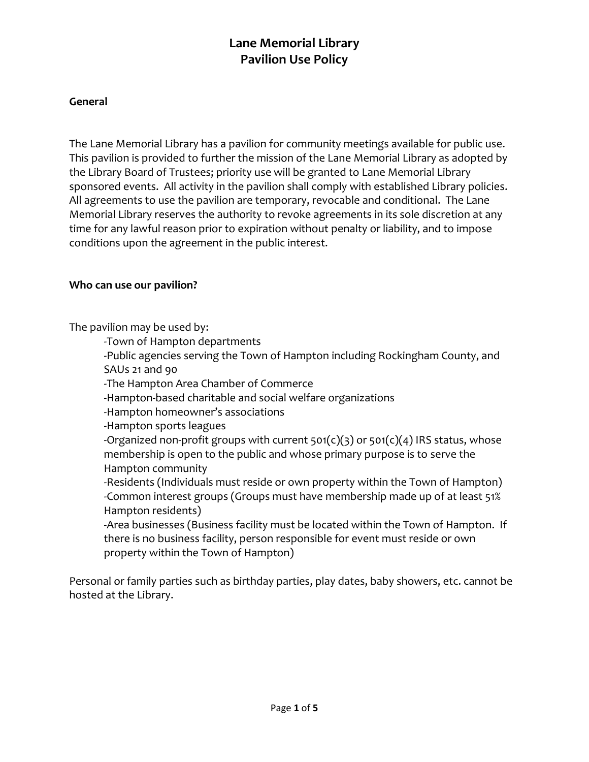#### **General**

The Lane Memorial Library has a pavilion for community meetings available for public use. This pavilion is provided to further the mission of the Lane Memorial Library as adopted by the Library Board of Trustees; priority use will be granted to Lane Memorial Library sponsored events. All activity in the pavilion shall comply with established Library policies. All agreements to use the pavilion are temporary, revocable and conditional. The Lane Memorial Library reserves the authority to revoke agreements in its sole discretion at any time for any lawful reason prior to expiration without penalty or liability, and to impose conditions upon the agreement in the public interest.

#### **Who can use our pavilion?**

The pavilion may be used by:

-Town of Hampton departments

-Public agencies serving the Town of Hampton including Rockingham County, and SAUs 21 and 90

-The Hampton Area Chamber of Commerce

-Hampton-based charitable and social welfare organizations

-Hampton homeowner's associations

-Hampton sports leagues

-Organized non-profit groups with current  $501(c)(3)$  or  $501(c)(4)$  IRS status, whose membership is open to the public and whose primary purpose is to serve the Hampton community

-Residents (Individuals must reside or own property within the Town of Hampton) -Common interest groups (Groups must have membership made up of at least 51% Hampton residents)

-Area businesses (Business facility must be located within the Town of Hampton. If there is no business facility, person responsible for event must reside or own property within the Town of Hampton)

Personal or family parties such as birthday parties, play dates, baby showers, etc. cannot be hosted at the Library.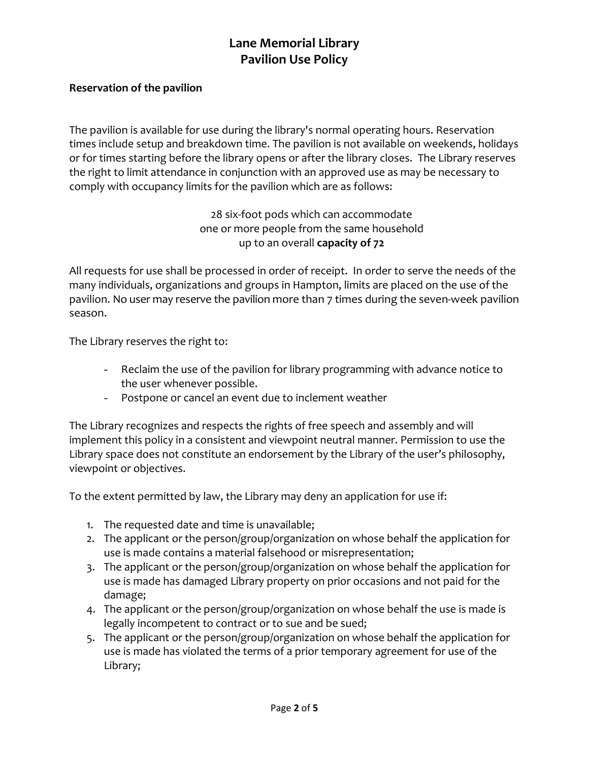#### **Reservation of the pavilion**

The pavilion is available for use during the library's normal operating hours. Reservation times include setup and breakdown time. The pavilion is not available on weekends, holidays or for times starting before the library opens or after the library closes. The Library reserves the right to limit attendance in conjunction with an approved use as may be necessary to comply with occupancy limits for the pavilion which are as follows:

> 28 six-foot pods which can accommodate one or more people from the same household up to an overall **capacity of 72**

All requests for use shall be processed in order of receipt. In order to serve the needs of the many individuals, organizations and groups in Hampton, limits are placed on the use of the pavilion. No user may reserve the pavilion more than 7 times during the seven-week pavilion season.

The Library reserves the right to:

- Reclaim the use of the pavilion for library programming with advance notice to the user whenever possible.
- Postpone or cancel an event due to inclement weather

The Library recognizes and respects the rights of free speech and assembly and will implement this policy in a consistent and viewpoint neutral manner. Permission to use the Library space does not constitute an endorsement by the Library of the user's philosophy, viewpoint or objectives.

To the extent permitted by law, the Library may deny an application for use if:

- 1. The requested date and time is unavailable;
- 2. The applicant or the person/group/organization on whose behalf the application for use is made contains a material falsehood or misrepresentation;
- 3. The applicant or the person/group/organization on whose behalf the application for use is made has damaged Library property on prior occasions and not paid for the damage;
- 4. The applicant or the person/group/organization on whose behalf the use is made is legally incompetent to contract or to sue and be sued;
- 5. The applicant or the person/group/organization on whose behalf the application for use is made has violated the terms of a prior temporary agreement for use of the Library;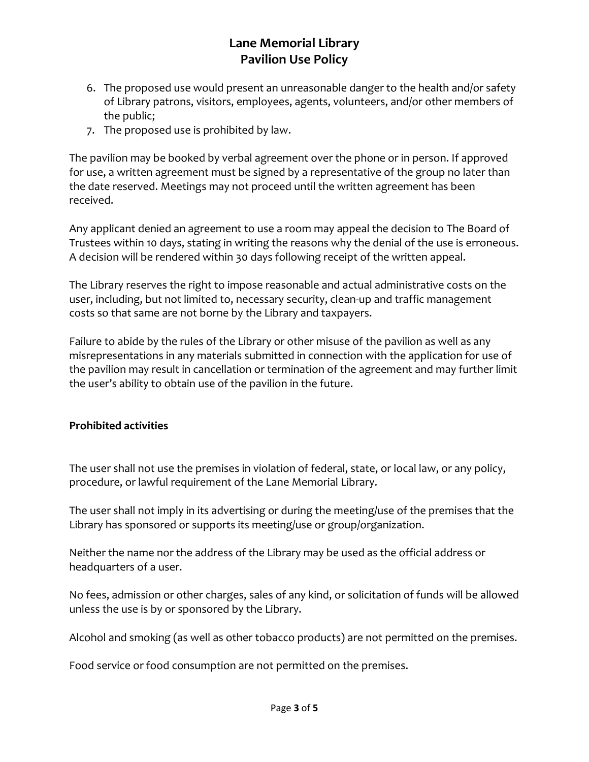- 6. The proposed use would present an unreasonable danger to the health and/or safety of Library patrons, visitors, employees, agents, volunteers, and/or other members of the public;
- 7. The proposed use is prohibited by law.

The pavilion may be booked by verbal agreement over the phone or in person. If approved for use, a written agreement must be signed by a representative of the group no later than the date reserved. Meetings may not proceed until the written agreement has been received.

Any applicant denied an agreement to use a room may appeal the decision to The Board of Trustees within 10 days, stating in writing the reasons why the denial of the use is erroneous. A decision will be rendered within 30 days following receipt of the written appeal.

The Library reserves the right to impose reasonable and actual administrative costs on the user, including, but not limited to, necessary security, clean-up and traffic management costs so that same are not borne by the Library and taxpayers.

Failure to abide by the rules of the Library or other misuse of the pavilion as well as any misrepresentations in any materials submitted in connection with the application for use of the pavilion may result in cancellation or termination of the agreement and may further limit the user's ability to obtain use of the pavilion in the future.

#### **Prohibited activities**

The user shall not use the premises in violation of federal, state, or local law, or any policy, procedure, or lawful requirement of the Lane Memorial Library.

The user shall not imply in its advertising or during the meeting/use of the premises that the Library has sponsored or supports its meeting/use or group/organization.

Neither the name nor the address of the Library may be used as the official address or headquarters of a user.

No fees, admission or other charges, sales of any kind, or solicitation of funds will be allowed unless the use is by or sponsored by the Library.

Alcohol and smoking (as well as other tobacco products) are not permitted on the premises.

Food service or food consumption are not permitted on the premises.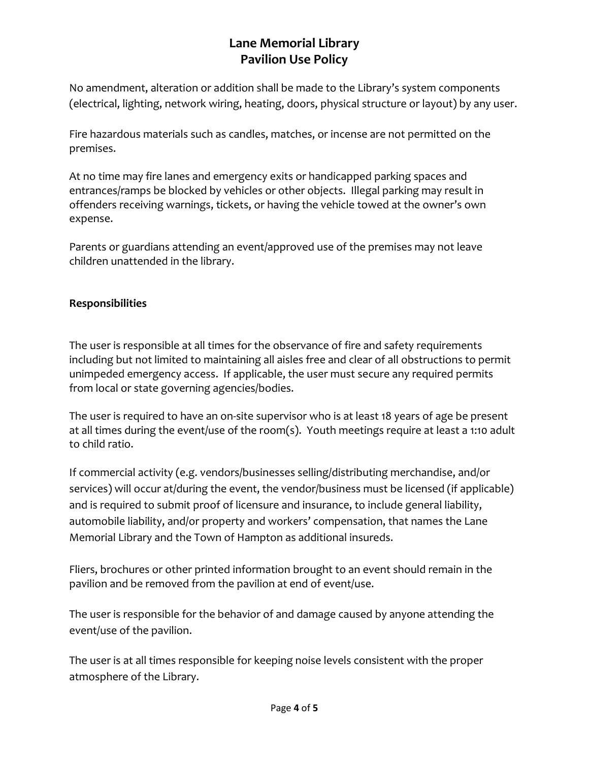No amendment, alteration or addition shall be made to the Library's system components (electrical, lighting, network wiring, heating, doors, physical structure or layout) by any user.

Fire hazardous materials such as candles, matches, or incense are not permitted on the premises.

At no time may fire lanes and emergency exits or handicapped parking spaces and entrances/ramps be blocked by vehicles or other objects. Illegal parking may result in offenders receiving warnings, tickets, or having the vehicle towed at the owner's own expense.

Parents or guardians attending an event/approved use of the premises may not leave children unattended in the library.

#### **Responsibilities**

The user is responsible at all times for the observance of fire and safety requirements including but not limited to maintaining all aisles free and clear of all obstructions to permit unimpeded emergency access. If applicable, the user must secure any required permits from local or state governing agencies/bodies.

The user is required to have an on-site supervisor who is at least 18 years of age be present at all times during the event/use of the room(s). Youth meetings require at least a 1:10 adult to child ratio.

If commercial activity (e.g. vendors/businesses selling/distributing merchandise, and/or services) will occur at/during the event, the vendor/business must be licensed (if applicable) and is required to submit proof of licensure and insurance, to include general liability, automobile liability, and/or property and workers' compensation, that names the Lane Memorial Library and the Town of Hampton as additional insureds.

Fliers, brochures or other printed information brought to an event should remain in the pavilion and be removed from the pavilion at end of event/use.

The user is responsible for the behavior of and damage caused by anyone attending the event/use of the pavilion.

The user is at all times responsible for keeping noise levels consistent with the proper atmosphere of the Library.